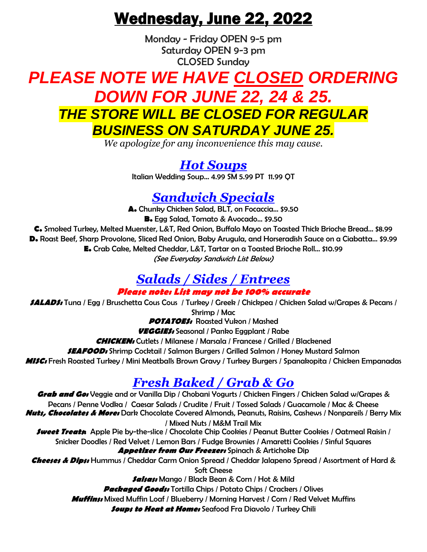# Wednesday, June 22, 2022

Monday - Friday OPEN 9-5 pm Saturday OPEN 9-3 pm CLOSED Sunday

# *PLEASE NOTE WE HAVE CLOSED ORDERING DOWN FOR JUNE 22, 24 & 25. THE STORE WILL BE CLOSED FOR REGULAR BUSINESS ON SATURDAY JUNE 25.*

*We apologize for any inconvenience this may cause.*

*Hot Soups* Italian Wedding Soup… 4.99 SM 5.99 PT 11.99 QT

### *Sandwich Specials*

**A.** Chunky Chicken Salad, BLT, on Focaccia… \$9.50 **B.** Egg Salad, Tomato & Avocado… \$9.50

**C.** Smoked Turkey, Melted Muenster, L&T, Red Onion, Buffalo Mayo on Toasted Thick Brioche Bread... \$8.99 **D.** Roast Beef, Sharp Provolone, Sliced Red Onion, Baby Arugula, and Horseradish Sauce on a Ciabatta… \$9.99 **E.** Crab Cake, Melted Cheddar, L&T, Tartar on a Toasted Brioche Roll… \$10.99 (See Everyday Sandwich List Below)

### *Salads / Sides / Entrees*

**Please note: List may not be 100% accurate**

**SALADS:** Tuna / Egg / Bruschetta Cous Cous / Turkey / Greek / Chickpea / Chicken Salad w/Grapes & Pecans / Shrimp / Mac

**POTATOES:** Roasted Yukon / Mashed

**VEGGIES:** Seasonal / Panko Eggplant / Rabe

**CHICKEN:** Cutlets / Milanese / Marsala / Francese / Grilled / Blackened

**SEAFOOD:** Shrimp Cocktail / Salmon Burgers / Grilled Salmon / Honey Mustard Salmon

**MISC:** Fresh Roasted Turkey / Mini Meatballs Brown Gravy / Turkey Burgers / Spanakopita / Chicken Empanadas

## *Fresh Baked / Grab & Go*

**Grab and Go:** Veggie and or Vanilla Dip / Chobani Yogurts / Chicken Fingers / Chicken Salad w/Grapes & Pecans / Penne Vodka / Caesar Salads / Crudite / Fruit / Tossed Salads / Guacamole / Mac & Cheese **Nuts, Chocolates & More:** Dark Chocolate Covered Almonds, Peanuts, Raisins, Cashews / Nonpareils / Berry Mix / Mixed Nuts / M&M Trail Mix **Sweet Treats:** Apple Pie by-the-slice / Chocolate Chip Cookies / Peanut Butter Cookies / Oatmeal Raisin / Snicker Doodles / Red Velvet / Lemon Bars / Fudge Brownies / Amaretti Cookies / Sinful Squares **Appetizer from Our Freezer:** Spinach & Artichoke Dip **Cheeses & Dips:** Hummus / Cheddar Carm Onion Spread / Cheddar Jalapeno Spread / Assortment of Hard & Soft Cheese **Salsas:** Mango / Black Bean & Corn / Hot & Mild **Packaged Goods:** Tortilla Chips / Potato Chips / Crackers / Olives **Muffins:** Mixed Muffin Loaf / Blueberry / Morning Harvest / Corn / Red Velvet Muffins **Soups to Heat at Home:** Seafood Fra Diavolo / Turkey Chili